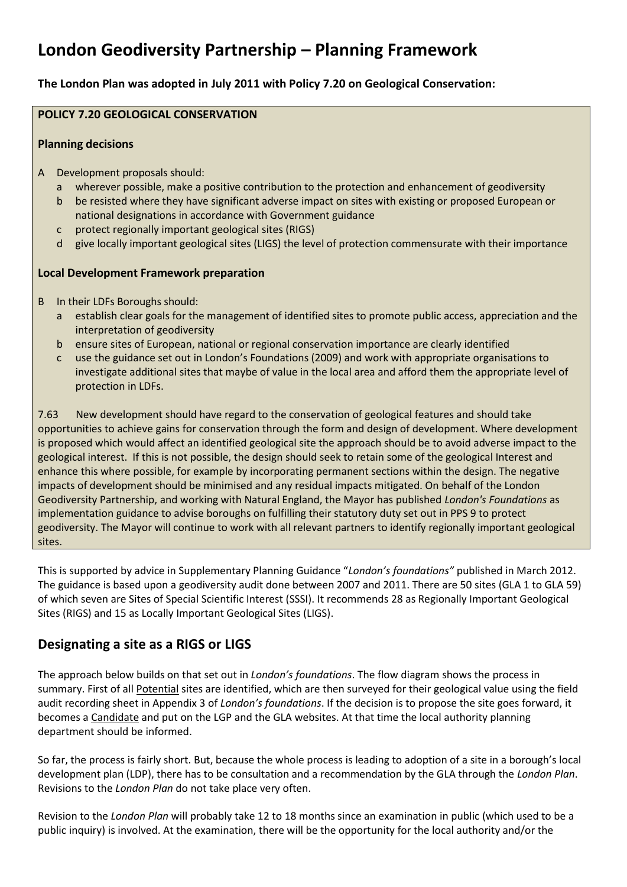# **London Geodiversity Partnership – Planning Framework**

**The London Plan was adopted in July 2011 with Policy 7.20 on Geological Conservation:**

## **POLICY 7.20 GEOLOGICAL CONSERVATION**

#### **Planning decisions**

- Development proposals should:
	- a wherever possible, make a positive contribution to the protection and enhancement of geodiversity
	- b be resisted where they have significant adverse impact on sites with existing or proposed European or national designations in accordance with Government guidance
	- c protect regionally important geological sites (RIGS)
	- d give locally important geological sites (LIGS) the level of protection commensurate with their importance

### **Local Development Framework preparation**

- B In their LDFs Boroughs should:
	- a establish clear goals for the management of identified sites to promote public access, appreciation and the interpretation of geodiversity
	- b ensure sites of European, national or regional conservation importance are clearly identified
	- c use the guidance set out in London's Foundations (2009) and work with appropriate organisations to investigate additional sites that maybe of value in the local area and afford them the appropriate level of protection in LDFs.

7.63 New development should have regard to the conservation of geological features and should take opportunities to achieve gains for conservation through the form and design of development. Where development is proposed which would affect an identified geological site the approach should be to avoid adverse impact to the geological interest. If this is not possible, the design should seek to retain some of the geological Interest and enhance this where possible, for example by incorporating permanent sections within the design. The negative impacts of development should be minimised and any residual impacts mitigated. On behalf of the London Geodiversity Partnership, and working with Natural England, the Mayor has published *London's Foundations* as implementation guidance to advise boroughs on fulfilling their statutory duty set out in PPS 9 to protect geodiversity. The Mayor will continue to work with all relevant partners to identify regionally important geological sites.

This is supported by advice in Supplementary Planning Guidance "*London's foundations"* published in March 2012. The guidance is based upon a geodiversity audit done between 2007 and 2011. There are 50 sites (GLA 1 to GLA 59) of which seven are Sites of Special Scientific Interest (SSSI). It recommends 28 as Regionally Important Geological Sites (RIGS) and 15 as Locally Important Geological Sites (LIGS).

# **Designating a site as a RIGS or LIGS**

The approach below builds on that set out in *London's foundations*. The flow diagram shows the process in summary. First of all Potential sites are identified, which are then surveyed for their geological value using the field audit recording sheet in Appendix 3 of *London's foundations*. If the decision is to propose the site goes forward, it becomes a Candidate and put on the LGP and the GLA websites. At that time the local authority planning department should be informed.

So far, the process is fairly short. But, because the whole process is leading to adoption of a site in a borough's local development plan (LDP), there has to be consultation and a recommendation by the GLA through the *London Plan*. Revisions to the *London Plan* do not take place very often.

Revision to the *London Plan* will probably take 12 to 18 months since an examination in public (which used to be a public inquiry) is involved. At the examination, there will be the opportunity for the local authority and/or the